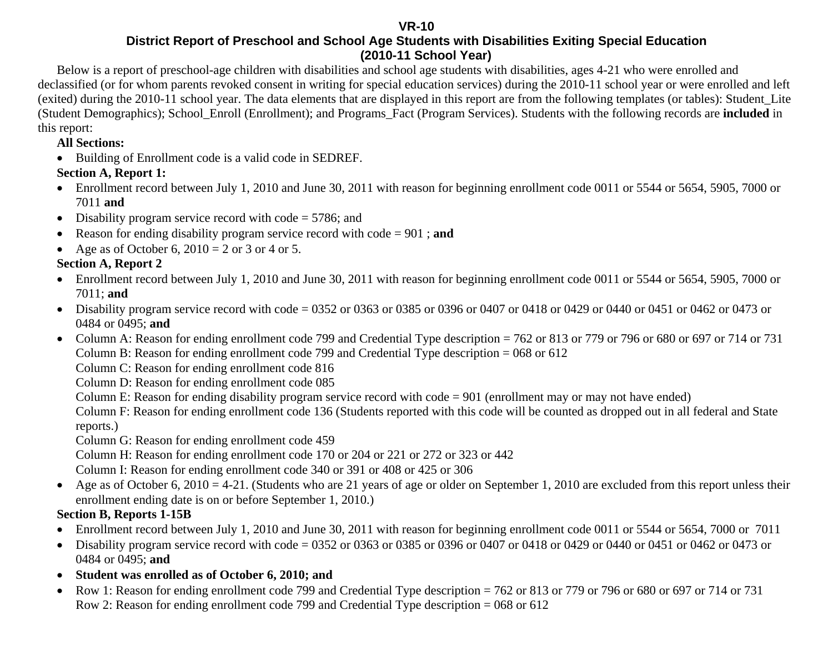#### **VR-10**

#### **District Report of Preschool and School Age Students with Disabilities Exiting Special Education (2010-11 School Year)**

Below is a report of preschool-age children with disabilities and school age students with disabilities, ages 4-21 who were enrolled and declassified (or for whom parents revoked consent in writing for special education services) during the 2010-11 school year or were enrolled and left (exited) during the 2010-11 school year. The data elements that are displayed in this report are from the following templates (or tables): Student\_Lite (Student Demographics); School\_Enroll (Enrollment); and Programs\_Fact (Program Services). Students with the following records are **included** in this report:

#### **All Sections:**

• Building of Enrollment code is a valid code in SEDREF.

### **Section A, Report 1:**

- Enrollment record between July 1, 2010 and June 30, 2011 with reason for beginning enrollment code 0011 or 5544 or 5654, 5905, 7000 or 7011 **and**
- Disability program service record with code = 5786; and
- •Reason for ending disability program service record with code = 901 ; **and**
- Age as of October 6,  $2010 = 2$  or 3 or 4 or 5.

### **Section A, Report 2**

- Enrollment record between July 1, 2010 and June 30, 2011 with reason for beginning enrollment code 0011 or 5544 or 5654, 5905, 7000 or 7011; **and**
- Disability program service record with code = 0352 or 0363 or 0385 or 0396 or 0407 or 0418 or 0429 or 0440 or 0451 or 0462 or 0473 or 0484 or 0495; **and**
- Column A: Reason for ending enrollment code 799 and Credential Type description = 762 or 813 or 779 or 796 or 680 or 697 or 714 or 731 Column B: Reason for ending enrollment code 799 and Credential Type description = 068 or 612

Column C: Reason for ending enrollment code 816

Column D: Reason for ending enrollment code 085

Column E: Reason for ending disability program service record with code = 901 (enrollment may or may not have ended)

Column F: Reason for ending enrollment code 136 (Students reported with this code will be counted as dropped out in all federal and State reports.)

Column G: Reason for ending enrollment code 459

Column H: Reason for ending enrollment code 170 or 204 or 221 or 272 or 323 or 442

Column I: Reason for ending enrollment code 340 or 391 or 408 or 425 or 306

• Age as of October 6, 2010 = 4-21. (Students who are 21 years of age or older on September 1, 2010 are excluded from this report unless their enrollment ending date is on or before September 1, 2010.)

### **Section B, Reports 1-15B**

- Enrollment record between July 1, 2010 and June 30, 2011 with reason for beginning enrollment code 0011 or 5544 or 5654, 7000 or 7011
- Disability program service record with code = 0352 or 0363 or 0385 or 0396 or 0407 or 0418 or 0429 or 0440 or 0451 or 0462 or 0473 or 0484 or 0495; **and**
- **Student was enrolled as of October 6, 2010; and**
- $\bullet$  Row 1: Reason for ending enrollment code 799 and Credential Type description = 762 or 813 or 779 or 796 or 680 or 697 or 714 or 731 Row 2: Reason for ending enrollment code 799 and Credential Type description = 068 or 612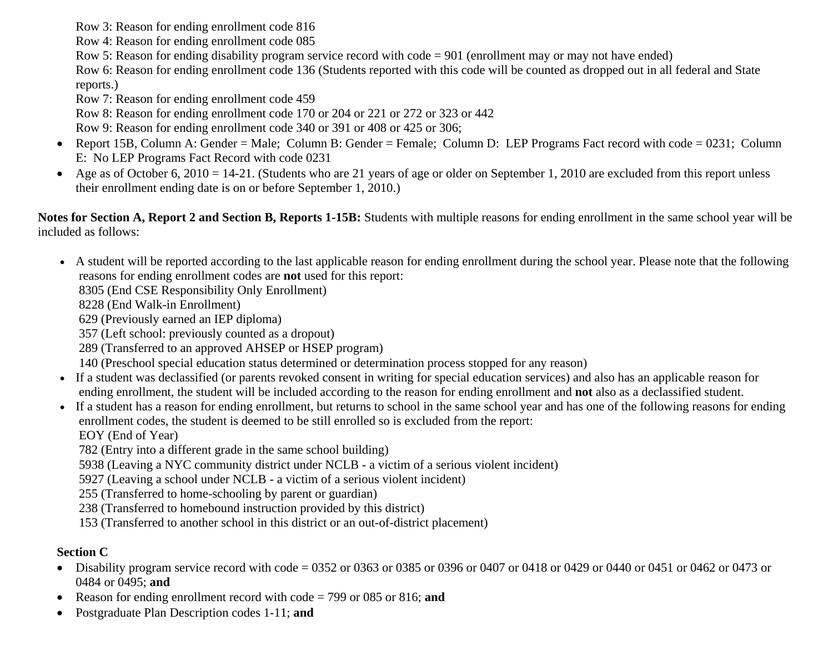Row 3: Reason for ending enrollment code 816

Row 4: Reason for ending enrollment code 085

Row 5: Reason for ending disability program service record with code = 901 (enrollment may or may not have ended)

 Row 6: Reason for ending enrollment code 136 (Students reported with this code will be counted as dropped out in all federal and State reports.)

Row 7: Reason for ending enrollment code 459

Row 8: Reason for ending enrollment code 170 or 204 or 221 or 272 or 323 or 442

Row 9: Reason for ending enrollment code 340 or 391 or 408 or 425 or 306;

- Report 15B, Column A: Gender = Male; Column B: Gender = Female; Column D: LEP Programs Fact record with code = 0231; Column E: No LEP Programs Fact Record with code 0231
- $\bullet$ Age as of October 6, 2010 = 14-21. (Students who are 21 years of age or older on September 1, 2010 are excluded from this report unless their enrollment ending date is on or before September 1, 2010.)

**Notes for Section A, Report 2 and Section B, Reports 1-15B:** Students with multiple reasons for ending enrollment in the same school year will be included as follows:

• A student will be reported according to the last applicable reason for ending enrollment during the school year. Please note that the following reasons for ending enrollment codes are **not** used for this report:

8305 (End CSE Responsibility Only Enrollment)

8228 (End Walk-in Enrollment)

629 (Previously earned an IEP diploma)

357 (Left school: previously counted as a dropout)

289 (Transferred to an approved AHSEP or HSEP program)

140 (Preschool special education status determined or determination process stopped for any reason)

- If a student was declassified (or parents revoked consent in writing for special education services) and also has an applicable reason for ending enrollment, the student will be included according to the reason for ending enrollment and **not** also as a declassified student.
- If a student has a reason for ending enrollment, but returns to school in the same school year and has one of the following reasons for ending enrollment codes, the student is deemed to be still enrolled so is excluded from the report:

EOY (End of Year)

782 (Entry into a different grade in the same school building)

5938 (Leaving a NYC community district under NCLB - a victim of a serious violent incident)

5927 (Leaving a school under NCLB - a victim of a serious violent incident)

255 (Transferred to home-schooling by parent or guardian)

238 (Transferred to homebound instruction provided by this district)

153 (Transferred to another school in this district or an out-of-district placement)

#### **Section C**

- Disability program service record with code = 0352 or 0363 or 0385 or 0396 or 0407 or 0418 or 0429 or 0440 or 0451 or 0462 or 0473 or 0484 or 0495; **and**
- Reason for ending enrollment record with code = 799 or 085 or 816; **and**
- •Postgraduate Plan Description codes 1-11; **and**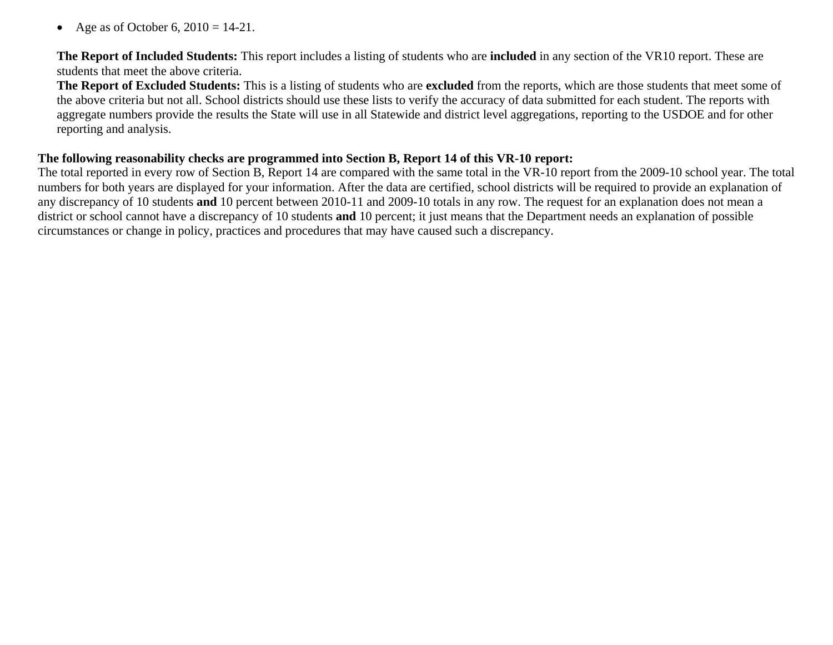$\bullet$ Age as of October 6,  $2010 = 14-21$ .

**The Report of Included Students:** This report includes a listing of students who are **included** in any section of the VR10 report. These are students that meet the above criteria.

**The Report of Excluded Students:** This is a listing of students who are **excluded** from the reports, which are those students that meet some of the above criteria but not all. School districts should use these lists to verify the accuracy of data submitted for each student. The reports with aggregate numbers provide the results the State will use in all Statewide and district level aggregations, reporting to the USDOE and for other reporting and analysis.

#### **The following reasonability checks are programmed into Section B, Report 14 of this VR-10 report:**

The total reported in every row of Section B, Report 14 are compared with the same total in the VR-10 report from the 2009-10 school year. The total numbers for both years are displayed for your information. After the data are certified, school districts will be required to provide an explanation of any discrepancy of 10 students **and** 10 percent between 2010-11 and 2009-10 totals in any row. The request for an explanation does not mean a district or school cannot have a discrepancy of 10 students **and** 10 percent; it just means that the Department needs an explanation of possible circumstances or change in policy, practices and procedures that may have caused such a discrepancy.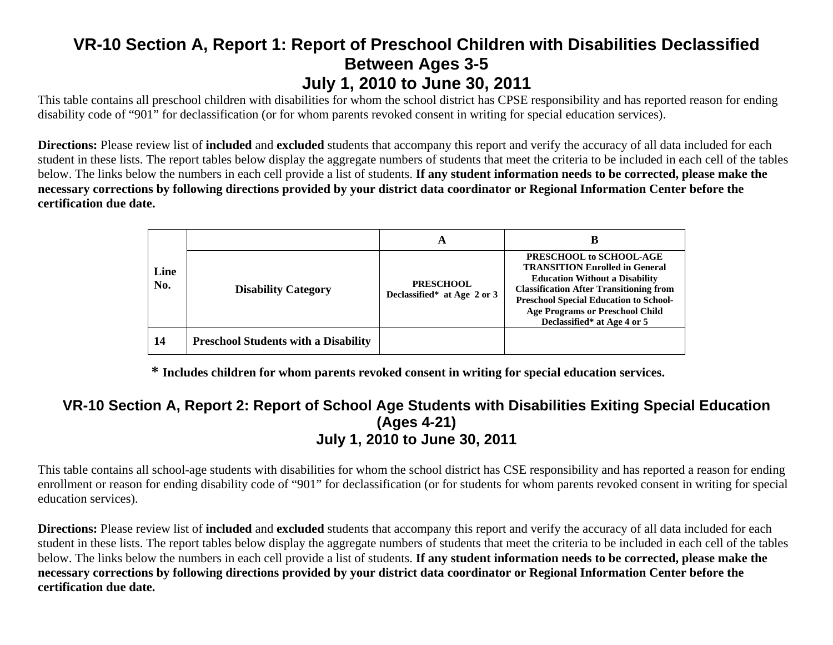# **VR-10 Section A, Report 1: Report of Preschool Children with Disabilities Declassified Between Ages 3-5 July 1, 2010 to June 30, 2011**

This table contains all preschool children with disabilities for whom the school district has CPSE responsibility and has reported reason for ending disability code of "901" for declassification (or for whom parents revoked consent in writing for special education services).

**Directions:** Please review list of **included** and **excluded** students that accompany this report and verify the accuracy of all data included for each student in these lists. The report tables below display the aggregate numbers of students that meet the criteria to be included in each cell of the tables below. The links below the numbers in each cell provide a list of students. **If any student information needs to be corrected, please make the necessary corrections by following directions provided by your district data coordinator or Regional Information Center before the certification due date.**

|             |                                             | A                                               | B                                                                                                                                                                                                                                                                                     |
|-------------|---------------------------------------------|-------------------------------------------------|---------------------------------------------------------------------------------------------------------------------------------------------------------------------------------------------------------------------------------------------------------------------------------------|
| Line<br>No. | <b>Disability Category</b>                  | <b>PRESCHOOL</b><br>Declassified* at Age 2 or 3 | PRESCHOOL to SCHOOL-AGE<br><b>TRANSITION Enrolled in General</b><br><b>Education Without a Disability</b><br><b>Classification After Transitioning from</b><br><b>Preschool Special Education to School-</b><br><b>Age Programs or Preschool Child</b><br>Declassified* at Age 4 or 5 |
| 14          | <b>Preschool Students with a Disability</b> |                                                 |                                                                                                                                                                                                                                                                                       |

**\* Includes children for whom parents revoked consent in writing for special education services.** 

#### **VR-10 Section A, Report 2: Report of School Age Students with Disabilities Exiting Special Education (Ages 4-21) July 1, 2010 to June 30, 2011**

This table contains all school-age students with disabilities for whom the school district has CSE responsibility and has reported a reason for ending enrollment or reason for ending disability code of "901" for declassification (or for students for whom parents revoked consent in writing for special education services).

**Directions:** Please review list of **included** and **excluded** students that accompany this report and verify the accuracy of all data included for each student in these lists. The report tables below display the aggregate numbers of students that meet the criteria to be included in each cell of the tables below. The links below the numbers in each cell provide a list of students. **If any student information needs to be corrected, please make the necessary corrections by following directions provided by your district data coordinator or Regional Information Center before the certification due date.**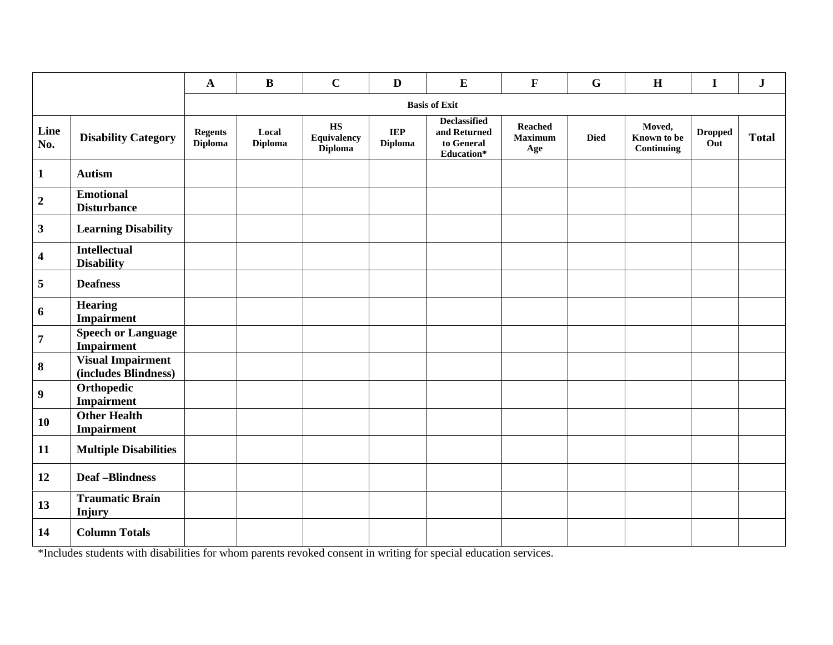|                         |                                                  | $\mathbf{A}$              | $\bf{B}$                | $\mathbf C$                                                    | $\mathbf{D}$                 | ${\bf E}$                                                       | $\mathbf F$                             | $\mathbf G$ | $\mathbf H$                         | $\mathbf I$           | ${\bf J}$    |
|-------------------------|--------------------------------------------------|---------------------------|-------------------------|----------------------------------------------------------------|------------------------------|-----------------------------------------------------------------|-----------------------------------------|-------------|-------------------------------------|-----------------------|--------------|
|                         |                                                  |                           |                         |                                                                |                              | <b>Basis of Exit</b>                                            |                                         |             |                                     |                       |              |
| Line<br>No.             | <b>Disability Category</b>                       | <b>Regents</b><br>Diploma | Local<br><b>Diploma</b> | $\mathbf{H}\mathbf{S}$<br><b>Equivalency</b><br><b>Diploma</b> | <b>IEP</b><br><b>Diploma</b> | <b>Declassified</b><br>and Returned<br>to General<br>Education* | <b>Reached</b><br><b>Maximum</b><br>Age | <b>Died</b> | Moved,<br>Known to be<br>Continuing | <b>Dropped</b><br>Out | <b>Total</b> |
| $\mathbf{1}$            | <b>Autism</b>                                    |                           |                         |                                                                |                              |                                                                 |                                         |             |                                     |                       |              |
| $\mathbf 2$             | <b>Emotional</b><br><b>Disturbance</b>           |                           |                         |                                                                |                              |                                                                 |                                         |             |                                     |                       |              |
| $\overline{\mathbf{3}}$ | <b>Learning Disability</b>                       |                           |                         |                                                                |                              |                                                                 |                                         |             |                                     |                       |              |
| $\overline{\mathbf{4}}$ | <b>Intellectual</b><br><b>Disability</b>         |                           |                         |                                                                |                              |                                                                 |                                         |             |                                     |                       |              |
| 5                       | <b>Deafness</b>                                  |                           |                         |                                                                |                              |                                                                 |                                         |             |                                     |                       |              |
| 6                       | <b>Hearing</b><br>Impairment                     |                           |                         |                                                                |                              |                                                                 |                                         |             |                                     |                       |              |
| $\overline{7}$          | <b>Speech or Language</b><br>Impairment          |                           |                         |                                                                |                              |                                                                 |                                         |             |                                     |                       |              |
| $\bf{8}$                | <b>Visual Impairment</b><br>(includes Blindness) |                           |                         |                                                                |                              |                                                                 |                                         |             |                                     |                       |              |
| $\boldsymbol{9}$        | Orthopedic<br><b>Impairment</b>                  |                           |                         |                                                                |                              |                                                                 |                                         |             |                                     |                       |              |
| 10                      | <b>Other Health</b><br>Impairment                |                           |                         |                                                                |                              |                                                                 |                                         |             |                                     |                       |              |
| 11                      | <b>Multiple Disabilities</b>                     |                           |                         |                                                                |                              |                                                                 |                                         |             |                                     |                       |              |
| 12                      | <b>Deaf-Blindness</b>                            |                           |                         |                                                                |                              |                                                                 |                                         |             |                                     |                       |              |
| 13                      | <b>Traumatic Brain</b><br>Injury                 |                           |                         |                                                                |                              |                                                                 |                                         |             |                                     |                       |              |
| 14                      | <b>Column Totals</b>                             |                           |                         |                                                                |                              |                                                                 |                                         |             |                                     |                       |              |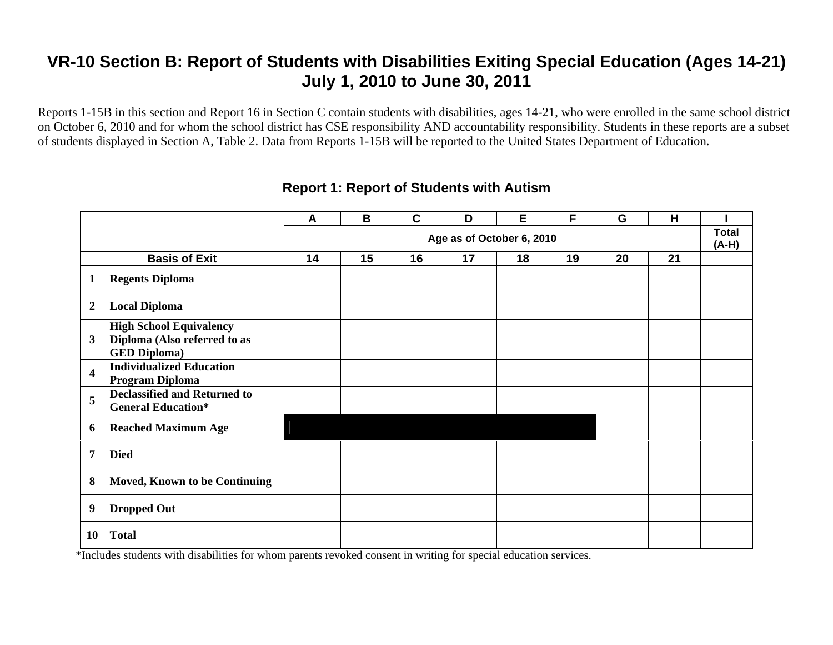Reports 1-15B in this section and Report 16 in Section C contain students with disabilities, ages 14-21, who were enrolled in the same school district on October 6, 2010 and for whom the school district has CSE responsibility AND accountability responsibility. Students in these reports are a subset of students displayed in Section A, Table 2. Data from Reports 1-15B will be reported to the United States Department of Education.

|                         |                                                                                       | A  | B  | C  | D                         | Е  | F  | G  | H  |                       |
|-------------------------|---------------------------------------------------------------------------------------|----|----|----|---------------------------|----|----|----|----|-----------------------|
|                         |                                                                                       |    |    |    | Age as of October 6, 2010 |    |    |    |    | <b>Total</b><br>(A-H) |
|                         | <b>Basis of Exit</b>                                                                  | 14 | 15 | 16 | 17                        | 18 | 19 | 20 | 21 |                       |
| 1                       | <b>Regents Diploma</b>                                                                |    |    |    |                           |    |    |    |    |                       |
| $\boldsymbol{2}$        | <b>Local Diploma</b>                                                                  |    |    |    |                           |    |    |    |    |                       |
| 3                       | <b>High School Equivalency</b><br>Diploma (Also referred to as<br><b>GED Diploma)</b> |    |    |    |                           |    |    |    |    |                       |
| $\overline{\mathbf{4}}$ | <b>Individualized Education</b><br>Program Diploma                                    |    |    |    |                           |    |    |    |    |                       |
| 5                       | <b>Declassified and Returned to</b><br><b>General Education*</b>                      |    |    |    |                           |    |    |    |    |                       |
| 6                       | <b>Reached Maximum Age</b>                                                            |    |    |    |                           |    |    |    |    |                       |
| 7                       | <b>Died</b>                                                                           |    |    |    |                           |    |    |    |    |                       |
| 8                       | <b>Moved, Known to be Continuing</b>                                                  |    |    |    |                           |    |    |    |    |                       |
| 9                       | <b>Dropped Out</b>                                                                    |    |    |    |                           |    |    |    |    |                       |
| <b>10</b>               | <b>Total</b>                                                                          |    |    |    |                           |    |    |    |    |                       |

#### **Report 1: Report of Students with Autism**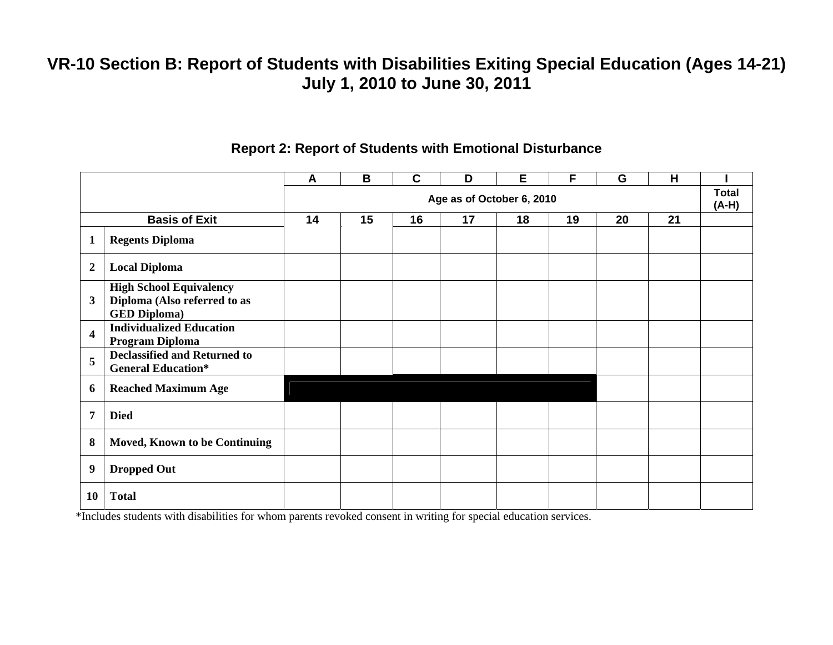|                         |                                                                                       | A  | B  | $\mathbf C$ | D                         | Е  | F  | G  | H  |                         |
|-------------------------|---------------------------------------------------------------------------------------|----|----|-------------|---------------------------|----|----|----|----|-------------------------|
|                         |                                                                                       |    |    |             | Age as of October 6, 2010 |    |    |    |    | <b>Total</b><br>$(A-H)$ |
|                         | <b>Basis of Exit</b>                                                                  | 14 | 15 | 16          | 17                        | 18 | 19 | 20 | 21 |                         |
| 1                       | <b>Regents Diploma</b>                                                                |    |    |             |                           |    |    |    |    |                         |
| $\overline{2}$          | <b>Local Diploma</b>                                                                  |    |    |             |                           |    |    |    |    |                         |
| $\mathbf{3}$            | <b>High School Equivalency</b><br>Diploma (Also referred to as<br><b>GED Diploma)</b> |    |    |             |                           |    |    |    |    |                         |
| $\overline{\mathbf{4}}$ | <b>Individualized Education</b><br>Program Diploma                                    |    |    |             |                           |    |    |    |    |                         |
| 5                       | <b>Declassified and Returned to</b><br><b>General Education*</b>                      |    |    |             |                           |    |    |    |    |                         |
| 6                       | <b>Reached Maximum Age</b>                                                            |    |    |             |                           |    |    |    |    |                         |
| 7                       | <b>Died</b>                                                                           |    |    |             |                           |    |    |    |    |                         |
| 8                       | <b>Moved, Known to be Continuing</b>                                                  |    |    |             |                           |    |    |    |    |                         |
| 9                       | <b>Dropped Out</b>                                                                    |    |    |             |                           |    |    |    |    |                         |
| 10                      | <b>Total</b>                                                                          |    |    |             |                           |    |    |    |    |                         |

#### **Report 2: Report of Students with Emotional Disturbance**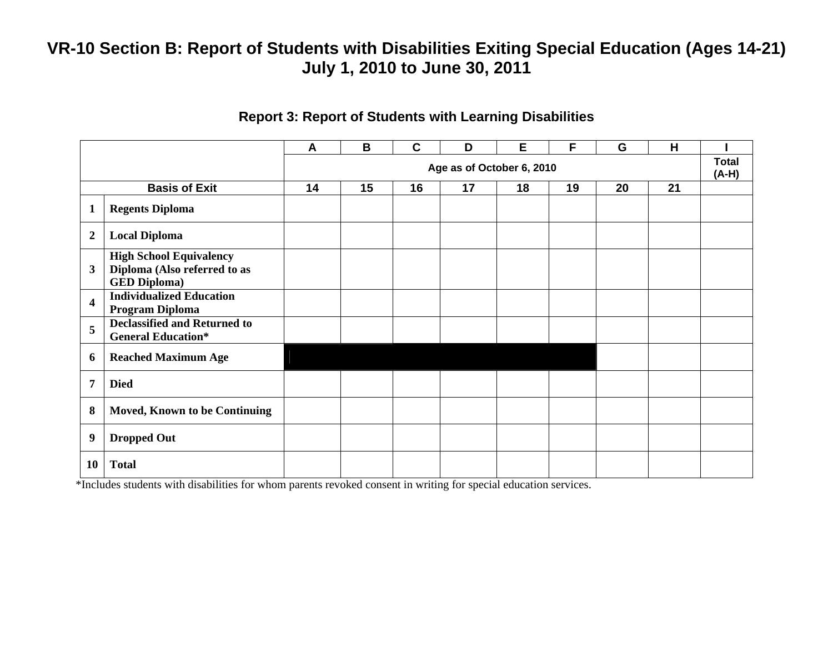|                         |                                                                                       | A  | B  | $\mathbf C$ | D                         | E  | F  | G  | H  |                         |
|-------------------------|---------------------------------------------------------------------------------------|----|----|-------------|---------------------------|----|----|----|----|-------------------------|
|                         |                                                                                       |    |    |             | Age as of October 6, 2010 |    |    |    |    | <b>Total</b><br>$(A-H)$ |
|                         | <b>Basis of Exit</b>                                                                  | 14 | 15 | 16          | 17                        | 18 | 19 | 20 | 21 |                         |
| $\mathbf{1}$            | <b>Regents Diploma</b>                                                                |    |    |             |                           |    |    |    |    |                         |
| $\boldsymbol{2}$        | <b>Local Diploma</b>                                                                  |    |    |             |                           |    |    |    |    |                         |
| 3                       | <b>High School Equivalency</b><br>Diploma (Also referred to as<br><b>GED Diploma)</b> |    |    |             |                           |    |    |    |    |                         |
| $\overline{\mathbf{4}}$ | <b>Individualized Education</b><br>Program Diploma                                    |    |    |             |                           |    |    |    |    |                         |
| 5                       | <b>Declassified and Returned to</b><br><b>General Education*</b>                      |    |    |             |                           |    |    |    |    |                         |
| 6                       | <b>Reached Maximum Age</b>                                                            |    |    |             |                           |    |    |    |    |                         |
| 7                       | <b>Died</b>                                                                           |    |    |             |                           |    |    |    |    |                         |
| 8                       | <b>Moved, Known to be Continuing</b>                                                  |    |    |             |                           |    |    |    |    |                         |
| 9                       | <b>Dropped Out</b>                                                                    |    |    |             |                           |    |    |    |    |                         |
| 10                      | <b>Total</b>                                                                          |    |    |             |                           |    |    |    |    |                         |

#### **Report 3: Report of Students with Learning Disabilities**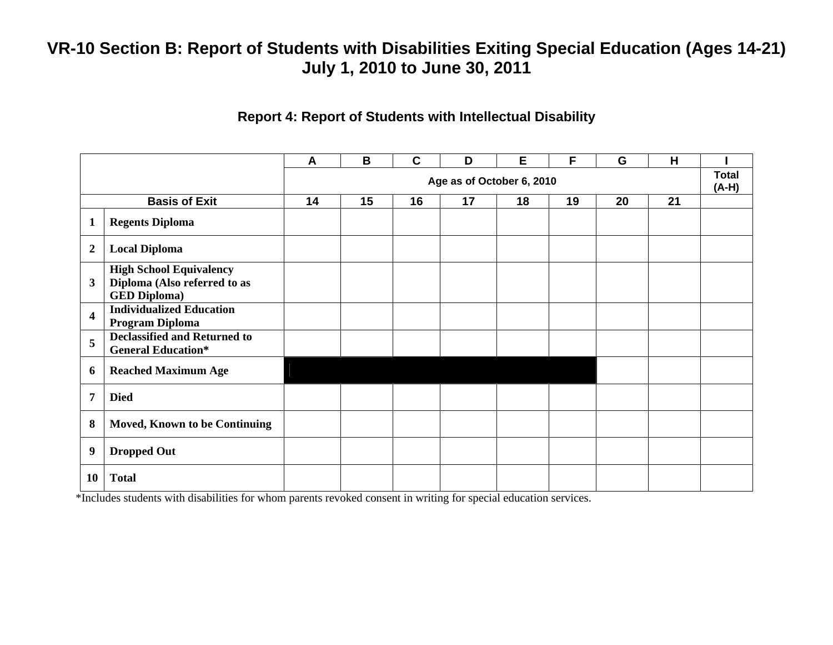#### **Report 4: Report of Students with Intellectual Disability**

|                         |                                                                                       | A  | B  | $\mathbf C$ | D                         | E  | F  | G  | H  |                         |
|-------------------------|---------------------------------------------------------------------------------------|----|----|-------------|---------------------------|----|----|----|----|-------------------------|
|                         |                                                                                       |    |    |             | Age as of October 6, 2010 |    |    |    |    | <b>Total</b><br>$(A-H)$ |
|                         | <b>Basis of Exit</b>                                                                  | 14 | 15 | 16          | 17                        | 18 | 19 | 20 | 21 |                         |
| $\mathbf{1}$            | <b>Regents Diploma</b>                                                                |    |    |             |                           |    |    |    |    |                         |
| $\overline{2}$          | <b>Local Diploma</b>                                                                  |    |    |             |                           |    |    |    |    |                         |
| 3                       | <b>High School Equivalency</b><br>Diploma (Also referred to as<br><b>GED Diploma)</b> |    |    |             |                           |    |    |    |    |                         |
| $\overline{\mathbf{4}}$ | <b>Individualized Education</b><br>Program Diploma                                    |    |    |             |                           |    |    |    |    |                         |
| 5                       | <b>Declassified and Returned to</b><br><b>General Education*</b>                      |    |    |             |                           |    |    |    |    |                         |
| 6                       | <b>Reached Maximum Age</b>                                                            |    |    |             |                           |    |    |    |    |                         |
| $\overline{7}$          | <b>Died</b>                                                                           |    |    |             |                           |    |    |    |    |                         |
| 8                       | <b>Moved, Known to be Continuing</b>                                                  |    |    |             |                           |    |    |    |    |                         |
| 9                       | <b>Dropped Out</b>                                                                    |    |    |             |                           |    |    |    |    |                         |
| 10                      | <b>Total</b>                                                                          |    |    |             |                           |    |    |    |    |                         |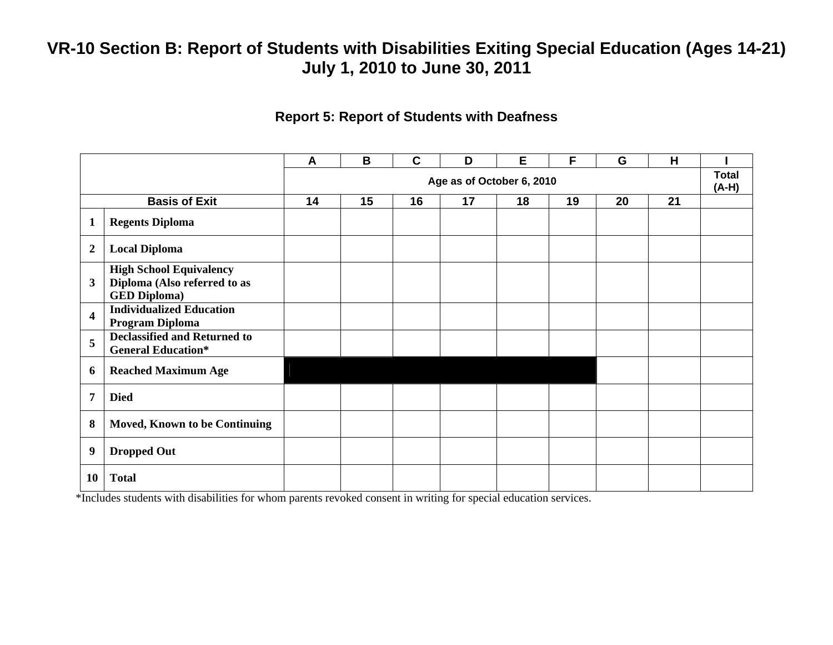#### **Report 5: Report of Students with Deafness**

|                         |                                                                                       | A  | B  | $\mathbf C$ | D                         | Е  | F  | G  | H  |                       |
|-------------------------|---------------------------------------------------------------------------------------|----|----|-------------|---------------------------|----|----|----|----|-----------------------|
|                         |                                                                                       |    |    |             | Age as of October 6, 2010 |    |    |    |    | <b>Total</b><br>(A-H) |
|                         | <b>Basis of Exit</b>                                                                  | 14 | 15 | 16          | 17                        | 18 | 19 | 20 | 21 |                       |
| $\mathbf{1}$            | <b>Regents Diploma</b>                                                                |    |    |             |                           |    |    |    |    |                       |
| $\overline{2}$          | <b>Local Diploma</b>                                                                  |    |    |             |                           |    |    |    |    |                       |
| 3                       | <b>High School Equivalency</b><br>Diploma (Also referred to as<br><b>GED Diploma)</b> |    |    |             |                           |    |    |    |    |                       |
| $\overline{\mathbf{4}}$ | <b>Individualized Education</b><br>Program Diploma                                    |    |    |             |                           |    |    |    |    |                       |
| 5                       | <b>Declassified and Returned to</b><br><b>General Education*</b>                      |    |    |             |                           |    |    |    |    |                       |
| 6                       | <b>Reached Maximum Age</b>                                                            |    |    |             |                           |    |    |    |    |                       |
| 7                       | <b>Died</b>                                                                           |    |    |             |                           |    |    |    |    |                       |
| 8                       | <b>Moved, Known to be Continuing</b>                                                  |    |    |             |                           |    |    |    |    |                       |
| 9                       | <b>Dropped Out</b>                                                                    |    |    |             |                           |    |    |    |    |                       |
| 10                      | <b>Total</b>                                                                          |    |    |             |                           |    |    |    |    |                       |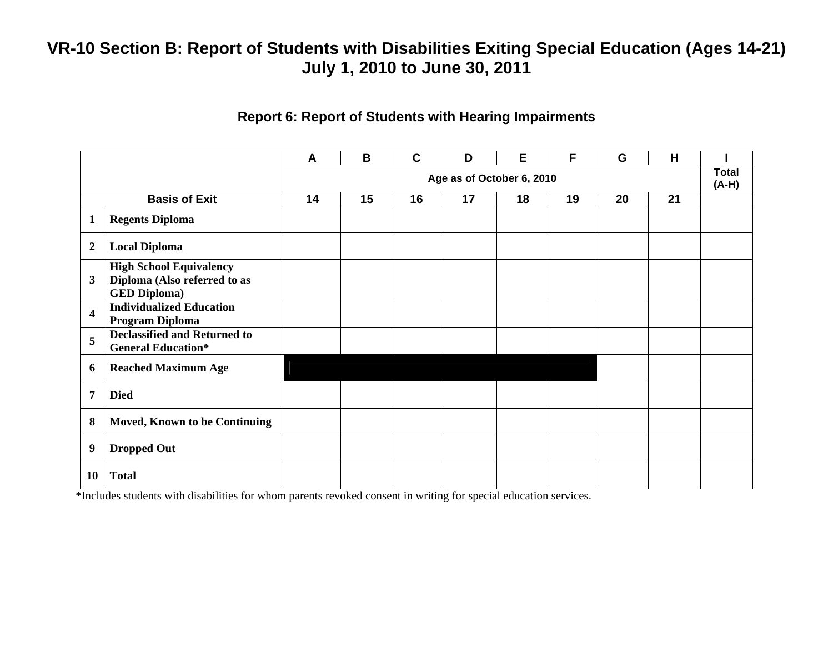#### **Report 6: Report of Students with Hearing Impairments**

|                  |                                                                                       | $\boldsymbol{A}$ | B  | $\mathbf C$ | D                         | E  | F  | G  | H  |                         |
|------------------|---------------------------------------------------------------------------------------|------------------|----|-------------|---------------------------|----|----|----|----|-------------------------|
|                  |                                                                                       |                  |    |             | Age as of October 6, 2010 |    |    |    |    | <b>Total</b><br>$(A-H)$ |
|                  | <b>Basis of Exit</b>                                                                  | 14               | 15 | 16          | 17                        | 18 | 19 | 20 | 21 |                         |
| 1                | <b>Regents Diploma</b>                                                                |                  |    |             |                           |    |    |    |    |                         |
| $\boldsymbol{2}$ | <b>Local Diploma</b>                                                                  |                  |    |             |                           |    |    |    |    |                         |
| $\mathbf{3}$     | <b>High School Equivalency</b><br>Diploma (Also referred to as<br><b>GED Diploma)</b> |                  |    |             |                           |    |    |    |    |                         |
| 4                | <b>Individualized Education</b><br>Program Diploma                                    |                  |    |             |                           |    |    |    |    |                         |
| 5                | <b>Declassified and Returned to</b><br><b>General Education*</b>                      |                  |    |             |                           |    |    |    |    |                         |
| 6                | <b>Reached Maximum Age</b>                                                            |                  |    |             |                           |    |    |    |    |                         |
| 7                | <b>Died</b>                                                                           |                  |    |             |                           |    |    |    |    |                         |
| 8                | <b>Moved, Known to be Continuing</b>                                                  |                  |    |             |                           |    |    |    |    |                         |
| 9                | <b>Dropped Out</b>                                                                    |                  |    |             |                           |    |    |    |    |                         |
| 10               | <b>Total</b>                                                                          |                  |    |             |                           |    |    |    |    |                         |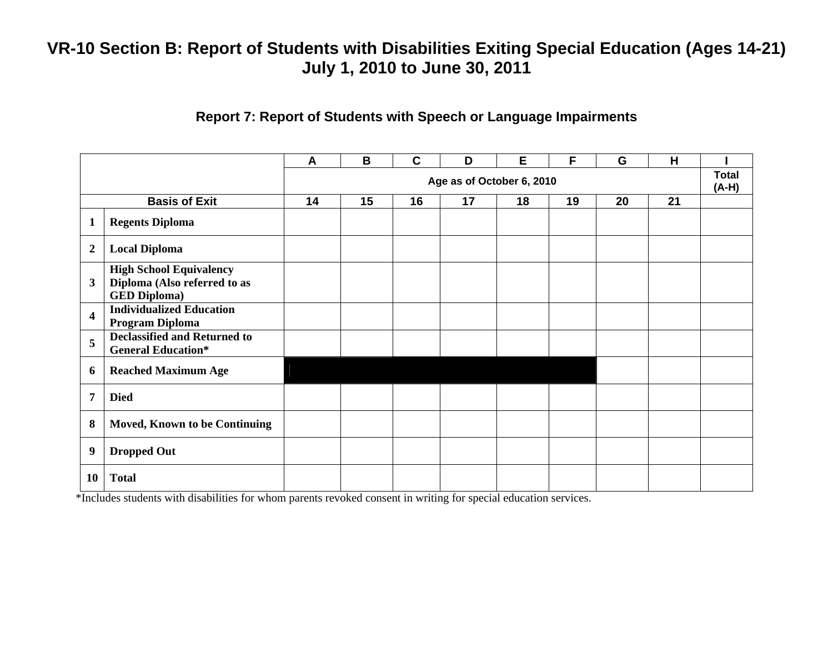#### **Report 7: Report of Students with Speech or Language Impairments**

|                         |                                                                                       | A  | B  | $\mathbf C$ | D                         | Е  | F  | G  | H  |                         |
|-------------------------|---------------------------------------------------------------------------------------|----|----|-------------|---------------------------|----|----|----|----|-------------------------|
|                         |                                                                                       |    |    |             | Age as of October 6, 2010 |    |    |    |    | <b>Total</b><br>$(A-H)$ |
|                         | <b>Basis of Exit</b>                                                                  | 14 | 15 | 16          | 17                        | 18 | 19 | 20 | 21 |                         |
| $\mathbf{1}$            | <b>Regents Diploma</b>                                                                |    |    |             |                           |    |    |    |    |                         |
| $\overline{2}$          | <b>Local Diploma</b>                                                                  |    |    |             |                           |    |    |    |    |                         |
| $\mathbf{3}$            | <b>High School Equivalency</b><br>Diploma (Also referred to as<br><b>GED Diploma)</b> |    |    |             |                           |    |    |    |    |                         |
| $\overline{\mathbf{4}}$ | <b>Individualized Education</b><br>Program Diploma                                    |    |    |             |                           |    |    |    |    |                         |
| 5                       | <b>Declassified and Returned to</b><br><b>General Education*</b>                      |    |    |             |                           |    |    |    |    |                         |
| 6                       | <b>Reached Maximum Age</b>                                                            |    |    |             |                           |    |    |    |    |                         |
| $\overline{7}$          | <b>Died</b>                                                                           |    |    |             |                           |    |    |    |    |                         |
| 8                       | <b>Moved, Known to be Continuing</b>                                                  |    |    |             |                           |    |    |    |    |                         |
| 9                       | <b>Dropped Out</b>                                                                    |    |    |             |                           |    |    |    |    |                         |
| 10                      | <b>Total</b>                                                                          |    |    |             |                           |    |    |    |    |                         |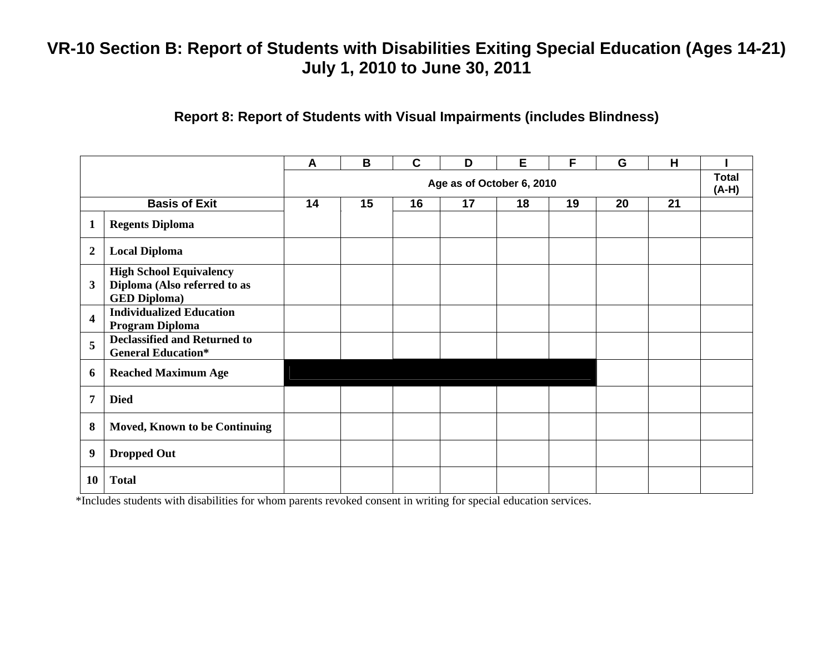### **Report 8: Report of Students with Visual Impairments (includes Blindness)**

|                         |                                                                                       | A  | B  | $\mathbf C$ | D                         | Е  | F  | G  | H  |                         |
|-------------------------|---------------------------------------------------------------------------------------|----|----|-------------|---------------------------|----|----|----|----|-------------------------|
|                         |                                                                                       |    |    |             | Age as of October 6, 2010 |    |    |    |    | <b>Total</b><br>$(A-H)$ |
|                         | <b>Basis of Exit</b>                                                                  | 14 | 15 | 16          | 17                        | 18 | 19 | 20 | 21 |                         |
| $\mathbf{1}$            | <b>Regents Diploma</b>                                                                |    |    |             |                           |    |    |    |    |                         |
| $\boldsymbol{2}$        | <b>Local Diploma</b>                                                                  |    |    |             |                           |    |    |    |    |                         |
| $\mathbf{3}$            | <b>High School Equivalency</b><br>Diploma (Also referred to as<br><b>GED Diploma)</b> |    |    |             |                           |    |    |    |    |                         |
| $\overline{\mathbf{4}}$ | <b>Individualized Education</b><br>Program Diploma                                    |    |    |             |                           |    |    |    |    |                         |
| 5                       | <b>Declassified and Returned to</b><br><b>General Education*</b>                      |    |    |             |                           |    |    |    |    |                         |
| 6                       | <b>Reached Maximum Age</b>                                                            |    |    |             |                           |    |    |    |    |                         |
| 7                       | <b>Died</b>                                                                           |    |    |             |                           |    |    |    |    |                         |
| 8                       | Moved, Known to be Continuing                                                         |    |    |             |                           |    |    |    |    |                         |
| 9                       | <b>Dropped Out</b>                                                                    |    |    |             |                           |    |    |    |    |                         |
| 10                      | <b>Total</b>                                                                          |    |    |             |                           |    |    |    |    |                         |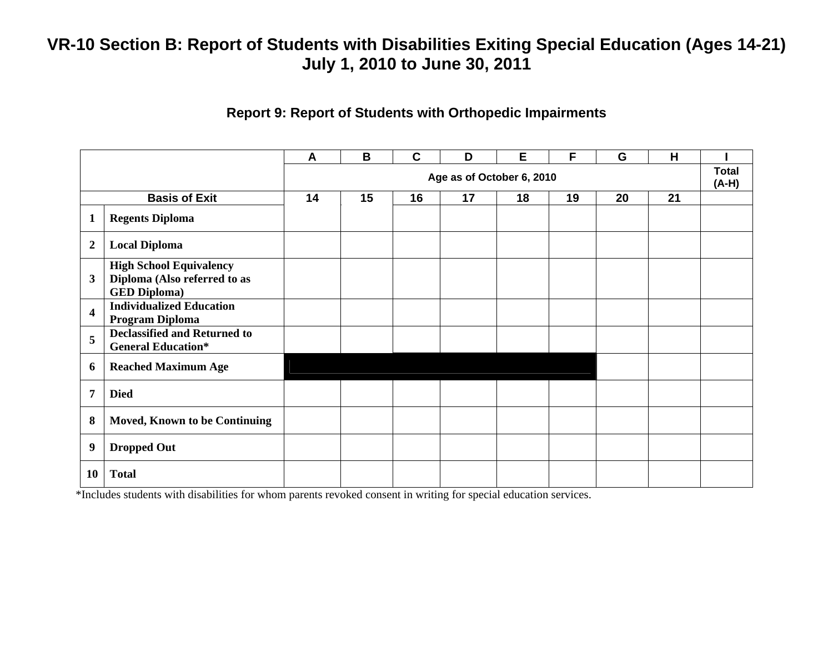### **Report 9: Report of Students with Orthopedic Impairments**

|                         |                                                                                       | A  | B  | $\mathbf c$ | D                         | E  | F  | G  | H  |                         |
|-------------------------|---------------------------------------------------------------------------------------|----|----|-------------|---------------------------|----|----|----|----|-------------------------|
|                         |                                                                                       |    |    |             | Age as of October 6, 2010 |    |    |    |    | <b>Total</b><br>$(A-H)$ |
|                         | <b>Basis of Exit</b>                                                                  | 14 | 15 | 16          | 17                        | 18 | 19 | 20 | 21 |                         |
| $\mathbf{1}$            | <b>Regents Diploma</b>                                                                |    |    |             |                           |    |    |    |    |                         |
| $\boldsymbol{2}$        | <b>Local Diploma</b>                                                                  |    |    |             |                           |    |    |    |    |                         |
| 3                       | <b>High School Equivalency</b><br>Diploma (Also referred to as<br><b>GED Diploma)</b> |    |    |             |                           |    |    |    |    |                         |
| $\overline{\mathbf{4}}$ | <b>Individualized Education</b><br>Program Diploma                                    |    |    |             |                           |    |    |    |    |                         |
| 5                       | <b>Declassified and Returned to</b><br><b>General Education*</b>                      |    |    |             |                           |    |    |    |    |                         |
| 6                       | <b>Reached Maximum Age</b>                                                            |    |    |             |                           |    |    |    |    |                         |
| 7                       | <b>Died</b>                                                                           |    |    |             |                           |    |    |    |    |                         |
| 8                       | <b>Moved, Known to be Continuing</b>                                                  |    |    |             |                           |    |    |    |    |                         |
| 9                       | <b>Dropped Out</b>                                                                    |    |    |             |                           |    |    |    |    |                         |
| 10                      | <b>Total</b>                                                                          |    |    |             |                           |    |    |    |    |                         |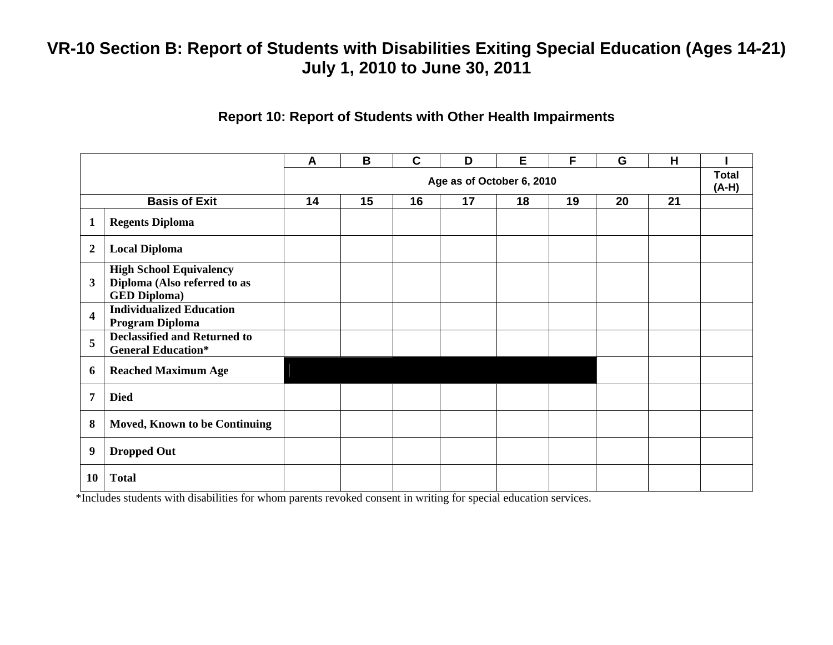#### **Report 10: Report of Students with Other Health Impairments**

|                         |                                                                                       | A  | B  | $\mathbf c$ | D                         | E  | F  | G  | H  |                         |
|-------------------------|---------------------------------------------------------------------------------------|----|----|-------------|---------------------------|----|----|----|----|-------------------------|
|                         |                                                                                       |    |    |             | Age as of October 6, 2010 |    |    |    |    | <b>Total</b><br>$(A-H)$ |
|                         | <b>Basis of Exit</b>                                                                  | 14 | 15 | 16          | 17                        | 18 | 19 | 20 | 21 |                         |
| $\mathbf{1}$            | <b>Regents Diploma</b>                                                                |    |    |             |                           |    |    |    |    |                         |
| $\overline{2}$          | <b>Local Diploma</b>                                                                  |    |    |             |                           |    |    |    |    |                         |
| $\mathbf{3}$            | <b>High School Equivalency</b><br>Diploma (Also referred to as<br><b>GED Diploma)</b> |    |    |             |                           |    |    |    |    |                         |
| $\overline{\mathbf{4}}$ | <b>Individualized Education</b><br>Program Diploma                                    |    |    |             |                           |    |    |    |    |                         |
| 5                       | <b>Declassified and Returned to</b><br><b>General Education*</b>                      |    |    |             |                           |    |    |    |    |                         |
| 6                       | <b>Reached Maximum Age</b>                                                            |    |    |             |                           |    |    |    |    |                         |
| 7                       | <b>Died</b>                                                                           |    |    |             |                           |    |    |    |    |                         |
| 8                       | <b>Moved, Known to be Continuing</b>                                                  |    |    |             |                           |    |    |    |    |                         |
| 9                       | <b>Dropped Out</b>                                                                    |    |    |             |                           |    |    |    |    |                         |
| 10                      | <b>Total</b>                                                                          |    |    |             |                           |    |    |    |    |                         |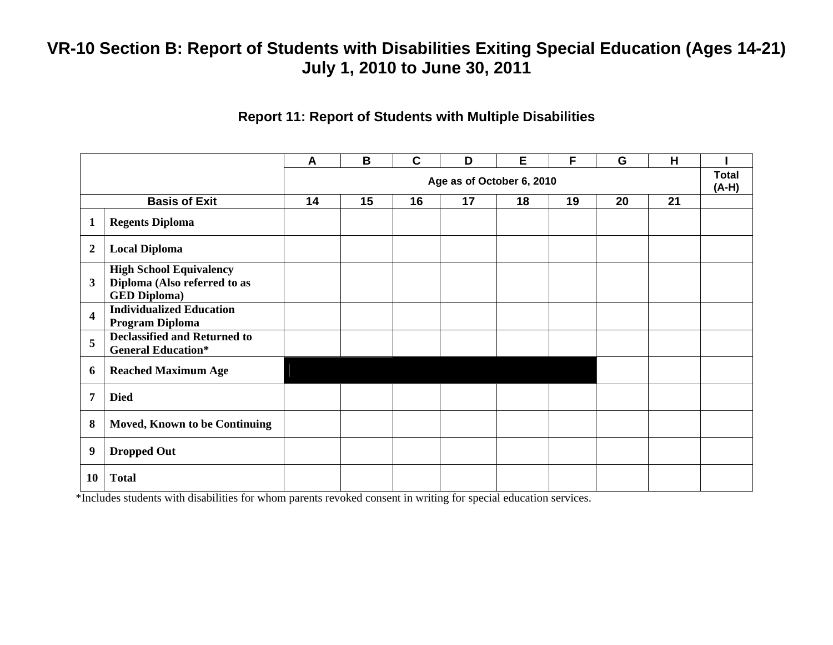#### **Report 11: Report of Students with Multiple Disabilities**

|                         |                                                                                       | A                         | B  | $\mathbf C$ | D  | E  | F  | G  | H  |                         |
|-------------------------|---------------------------------------------------------------------------------------|---------------------------|----|-------------|----|----|----|----|----|-------------------------|
|                         |                                                                                       | Age as of October 6, 2010 |    |             |    |    |    |    |    | <b>Total</b><br>$(A-H)$ |
|                         | <b>Basis of Exit</b>                                                                  | 14                        | 15 | 16          | 17 | 18 | 19 | 20 | 21 |                         |
| $\mathbf{1}$            | <b>Regents Diploma</b>                                                                |                           |    |             |    |    |    |    |    |                         |
| $\overline{2}$          | <b>Local Diploma</b>                                                                  |                           |    |             |    |    |    |    |    |                         |
| $\mathbf{3}$            | <b>High School Equivalency</b><br>Diploma (Also referred to as<br><b>GED Diploma)</b> |                           |    |             |    |    |    |    |    |                         |
| $\overline{\mathbf{4}}$ | <b>Individualized Education</b><br>Program Diploma                                    |                           |    |             |    |    |    |    |    |                         |
| 5                       | <b>Declassified and Returned to</b><br><b>General Education*</b>                      |                           |    |             |    |    |    |    |    |                         |
| 6                       | <b>Reached Maximum Age</b>                                                            |                           |    |             |    |    |    |    |    |                         |
| 7                       | <b>Died</b>                                                                           |                           |    |             |    |    |    |    |    |                         |
| 8                       | <b>Moved, Known to be Continuing</b>                                                  |                           |    |             |    |    |    |    |    |                         |
| 9                       | <b>Dropped Out</b>                                                                    |                           |    |             |    |    |    |    |    |                         |
| 10                      | <b>Total</b>                                                                          |                           |    |             |    |    |    |    |    |                         |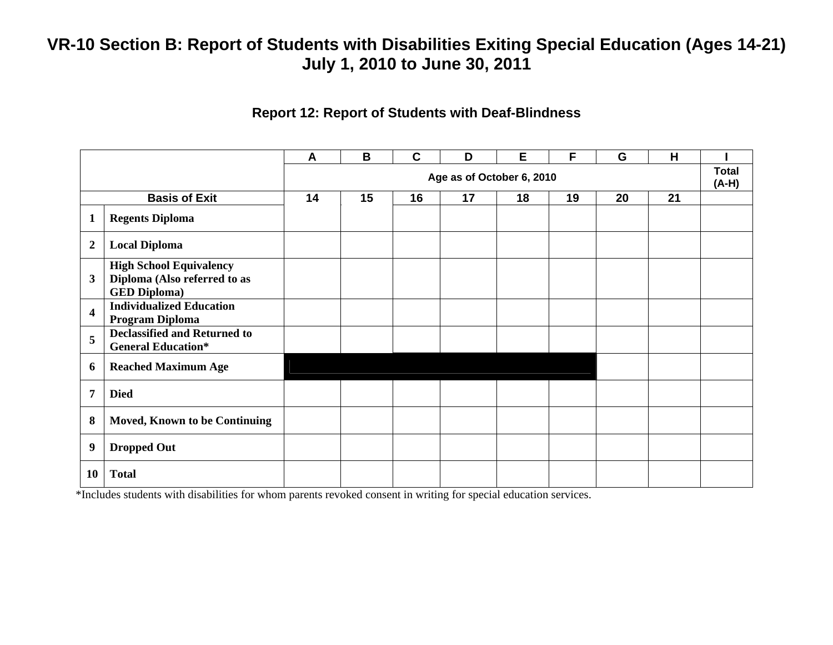#### **Report 12: Report of Students with Deaf-Blindness**

|                         |                                                                                       | $\boldsymbol{A}$ | B                         | $\mathbf c$ | D  | E  | F  | G  | H  |  |
|-------------------------|---------------------------------------------------------------------------------------|------------------|---------------------------|-------------|----|----|----|----|----|--|
|                         |                                                                                       |                  | Age as of October 6, 2010 |             |    |    |    |    |    |  |
|                         | <b>Basis of Exit</b>                                                                  | 14               | 15                        | 16          | 17 | 18 | 19 | 20 | 21 |  |
| $\mathbf{1}$            | <b>Regents Diploma</b>                                                                |                  |                           |             |    |    |    |    |    |  |
| $\boldsymbol{2}$        | <b>Local Diploma</b>                                                                  |                  |                           |             |    |    |    |    |    |  |
| $\mathbf{3}$            | <b>High School Equivalency</b><br>Diploma (Also referred to as<br><b>GED Diploma)</b> |                  |                           |             |    |    |    |    |    |  |
| $\overline{\mathbf{4}}$ | <b>Individualized Education</b><br>Program Diploma                                    |                  |                           |             |    |    |    |    |    |  |
| 5                       | <b>Declassified and Returned to</b><br><b>General Education*</b>                      |                  |                           |             |    |    |    |    |    |  |
| 6                       | <b>Reached Maximum Age</b>                                                            |                  |                           |             |    |    |    |    |    |  |
| 7                       | <b>Died</b>                                                                           |                  |                           |             |    |    |    |    |    |  |
| 8                       | <b>Moved, Known to be Continuing</b>                                                  |                  |                           |             |    |    |    |    |    |  |
| 9                       | <b>Dropped Out</b>                                                                    |                  |                           |             |    |    |    |    |    |  |
| 10                      | <b>Total</b>                                                                          |                  |                           |             |    |    |    |    |    |  |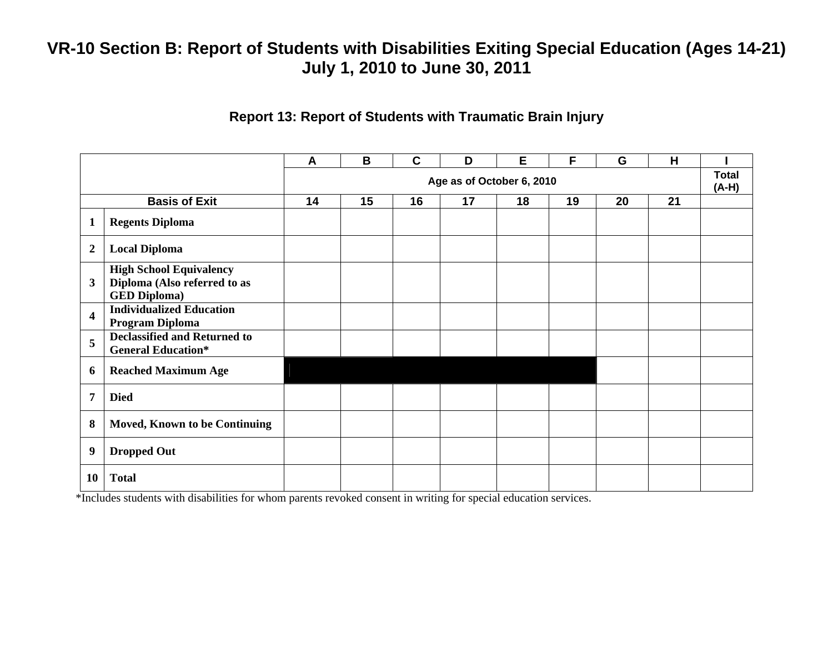#### **Report 13: Report of Students with Traumatic Brain Injury**

|                         |                                                                                       | A  | B                         | $\mathbf c$ | D  | E  | F  | G  | H  |  |  |
|-------------------------|---------------------------------------------------------------------------------------|----|---------------------------|-------------|----|----|----|----|----|--|--|
|                         |                                                                                       |    | Age as of October 6, 2010 |             |    |    |    |    |    |  |  |
|                         | <b>Basis of Exit</b>                                                                  | 14 | 15                        | 16          | 17 | 18 | 19 | 20 | 21 |  |  |
| $\mathbf{1}$            | <b>Regents Diploma</b>                                                                |    |                           |             |    |    |    |    |    |  |  |
| $\overline{2}$          | <b>Local Diploma</b>                                                                  |    |                           |             |    |    |    |    |    |  |  |
| $\mathbf{3}$            | <b>High School Equivalency</b><br>Diploma (Also referred to as<br><b>GED Diploma)</b> |    |                           |             |    |    |    |    |    |  |  |
| $\overline{\mathbf{4}}$ | <b>Individualized Education</b><br>Program Diploma                                    |    |                           |             |    |    |    |    |    |  |  |
| 5                       | <b>Declassified and Returned to</b><br><b>General Education*</b>                      |    |                           |             |    |    |    |    |    |  |  |
| 6                       | <b>Reached Maximum Age</b>                                                            |    |                           |             |    |    |    |    |    |  |  |
| $\overline{7}$          | <b>Died</b>                                                                           |    |                           |             |    |    |    |    |    |  |  |
| 8                       | Moved, Known to be Continuing                                                         |    |                           |             |    |    |    |    |    |  |  |
| 9                       | <b>Dropped Out</b>                                                                    |    |                           |             |    |    |    |    |    |  |  |
| 10                      | <b>Total</b>                                                                          |    |                           |             |    |    |    |    |    |  |  |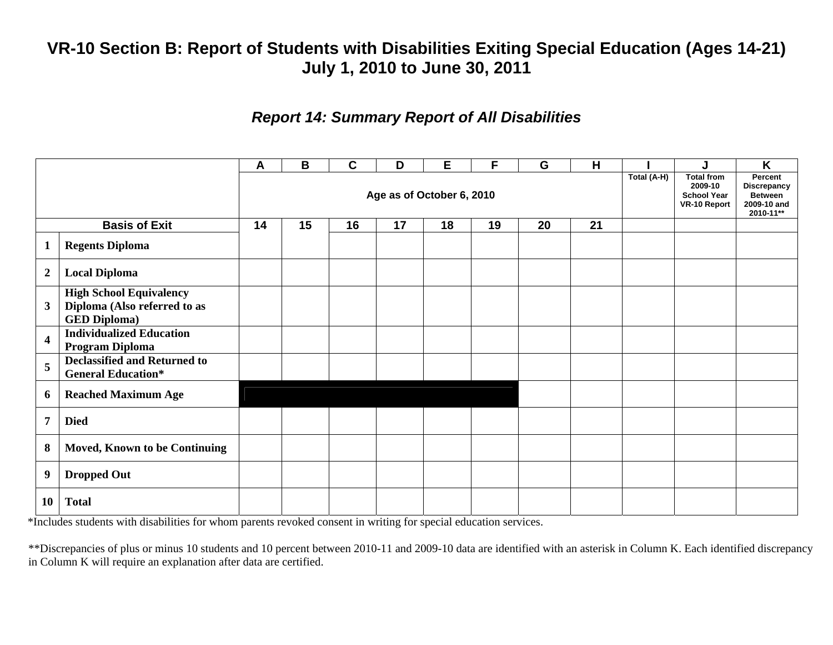### *Report 14: Summary Report of All Disabilities*

|                         |                                                                                       | A                         | B  | C  | D  | Е  | F  | G  | н  | Total (A-H) | J                                                                  | K                                                                           |
|-------------------------|---------------------------------------------------------------------------------------|---------------------------|----|----|----|----|----|----|----|-------------|--------------------------------------------------------------------|-----------------------------------------------------------------------------|
|                         |                                                                                       | Age as of October 6, 2010 |    |    |    |    |    |    |    |             | <b>Total from</b><br>2009-10<br><b>School Year</b><br>VR-10 Report | Percent<br><b>Discrepancy</b><br><b>Between</b><br>2009-10 and<br>2010-11** |
|                         | <b>Basis of Exit</b>                                                                  | 14                        | 15 | 16 | 17 | 18 | 19 | 20 | 21 |             |                                                                    |                                                                             |
| $\mathbf 1$             | <b>Regents Diploma</b>                                                                |                           |    |    |    |    |    |    |    |             |                                                                    |                                                                             |
| $\overline{2}$          | <b>Local Diploma</b>                                                                  |                           |    |    |    |    |    |    |    |             |                                                                    |                                                                             |
| $\mathbf{3}$            | <b>High School Equivalency</b><br>Diploma (Also referred to as<br><b>GED Diploma)</b> |                           |    |    |    |    |    |    |    |             |                                                                    |                                                                             |
| $\overline{\mathbf{4}}$ | <b>Individualized Education</b><br>Program Diploma                                    |                           |    |    |    |    |    |    |    |             |                                                                    |                                                                             |
| 5                       | <b>Declassified and Returned to</b><br><b>General Education*</b>                      |                           |    |    |    |    |    |    |    |             |                                                                    |                                                                             |
| 6                       | <b>Reached Maximum Age</b>                                                            |                           |    |    |    |    |    |    |    |             |                                                                    |                                                                             |
| $\overline{7}$          | <b>Died</b>                                                                           |                           |    |    |    |    |    |    |    |             |                                                                    |                                                                             |
| 8                       | <b>Moved, Known to be Continuing</b>                                                  |                           |    |    |    |    |    |    |    |             |                                                                    |                                                                             |
| 9                       | <b>Dropped Out</b>                                                                    |                           |    |    |    |    |    |    |    |             |                                                                    |                                                                             |
| <b>10</b>               | <b>Total</b>                                                                          |                           |    |    |    |    |    |    |    |             |                                                                    |                                                                             |

\*Includes students with disabilities for whom parents revoked consent in writing for special education services.

\*\*Discrepancies of plus or minus 10 students and 10 percent between 2010-11 and 2009-10 data are identified with an asterisk in Column K. Each identified discrepancy in Column K will require an explanation after data are certified.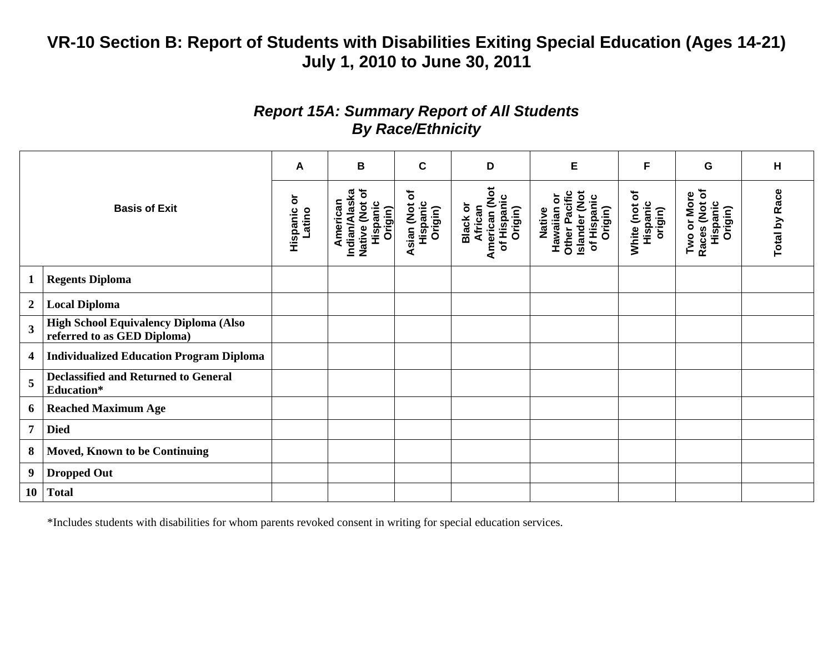### *Report 15A: Summary Report of All Students By Race/Ethnicity*

|                         |                                                                      | A                       | В                                                                  | C                                      | D                                                              | E                                                                                 | F                                      | G                                                   | н                    |
|-------------------------|----------------------------------------------------------------------|-------------------------|--------------------------------------------------------------------|----------------------------------------|----------------------------------------------------------------|-----------------------------------------------------------------------------------|----------------------------------------|-----------------------------------------------------|----------------------|
|                         | <b>Basis of Exit</b>                                                 | ŏ<br>Hispanic<br>Latino | Native (Not of<br>Indian/Alaska<br>American<br>Hispanic<br>Origin) | ð<br>Hispanic<br>Asian (Not<br>Origin) | American (Not<br>of Hispanic<br>Black or<br>African<br>Origin) | Other Pacific<br>Islander (Not<br>Hawaiian or<br>of Hispanic<br>Origin)<br>Native | ð<br>Hispanic<br>White (not<br>origin) | Races (Not of<br>Two or More<br>Hispanic<br>Origin) | <b>Total by Race</b> |
| 1                       | <b>Regents Diploma</b>                                               |                         |                                                                    |                                        |                                                                |                                                                                   |                                        |                                                     |                      |
| $\boldsymbol{2}$        | <b>Local Diploma</b>                                                 |                         |                                                                    |                                        |                                                                |                                                                                   |                                        |                                                     |                      |
| $\overline{\mathbf{3}}$ | High School Equivalency Diploma (Also<br>referred to as GED Diploma) |                         |                                                                    |                                        |                                                                |                                                                                   |                                        |                                                     |                      |
| 4                       | <b>Individualized Education Program Diploma</b>                      |                         |                                                                    |                                        |                                                                |                                                                                   |                                        |                                                     |                      |
| 5                       | <b>Declassified and Returned to General</b><br>Education*            |                         |                                                                    |                                        |                                                                |                                                                                   |                                        |                                                     |                      |
| 6                       | <b>Reached Maximum Age</b>                                           |                         |                                                                    |                                        |                                                                |                                                                                   |                                        |                                                     |                      |
| $\overline{7}$          | <b>Died</b>                                                          |                         |                                                                    |                                        |                                                                |                                                                                   |                                        |                                                     |                      |
| 8                       | <b>Moved, Known to be Continuing</b>                                 |                         |                                                                    |                                        |                                                                |                                                                                   |                                        |                                                     |                      |
| 9                       | <b>Dropped Out</b>                                                   |                         |                                                                    |                                        |                                                                |                                                                                   |                                        |                                                     |                      |
| <b>10</b>               | <b>Total</b>                                                         |                         |                                                                    |                                        |                                                                |                                                                                   |                                        |                                                     |                      |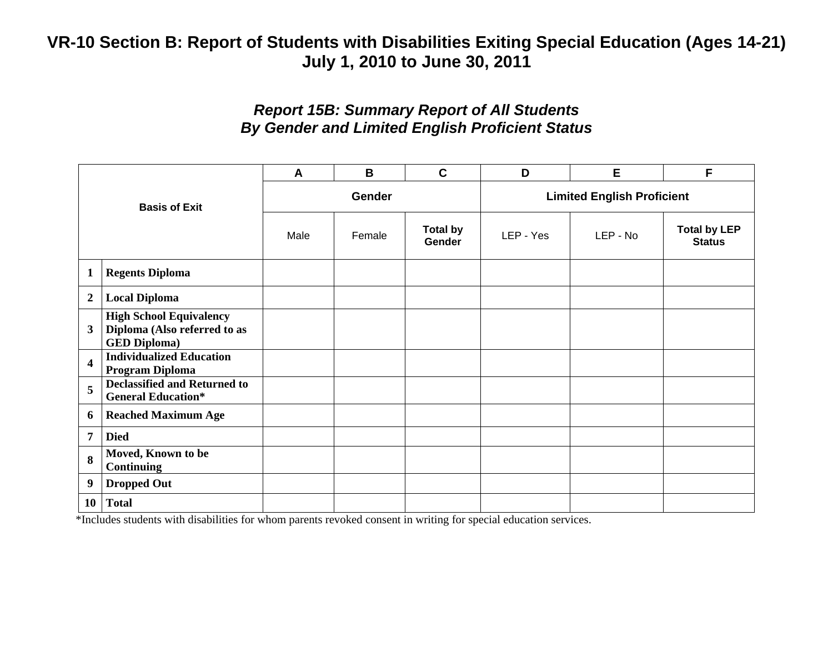### *Report 15B: Summary Report of All Students By Gender and Limited English Proficient Status*

| <b>Basis of Exit</b>    |                                                                                       | A    | B             | $\mathbf C$                      | D                                 | Е        | F                                    |
|-------------------------|---------------------------------------------------------------------------------------|------|---------------|----------------------------------|-----------------------------------|----------|--------------------------------------|
|                         |                                                                                       |      | <b>Gender</b> |                                  | <b>Limited English Proficient</b> |          |                                      |
|                         |                                                                                       | Male | Female        | <b>Total by</b><br><b>Gender</b> | LEP - Yes                         | LEP - No | <b>Total by LEP</b><br><b>Status</b> |
| $\mathbf{1}$            | <b>Regents Diploma</b>                                                                |      |               |                                  |                                   |          |                                      |
| $\boldsymbol{2}$        | <b>Local Diploma</b>                                                                  |      |               |                                  |                                   |          |                                      |
| 3                       | <b>High School Equivalency</b><br>Diploma (Also referred to as<br><b>GED Diploma)</b> |      |               |                                  |                                   |          |                                      |
| $\overline{\mathbf{4}}$ | <b>Individualized Education</b><br>Program Diploma                                    |      |               |                                  |                                   |          |                                      |
| 5                       | <b>Declassified and Returned to</b><br><b>General Education*</b>                      |      |               |                                  |                                   |          |                                      |
| 6                       | <b>Reached Maximum Age</b>                                                            |      |               |                                  |                                   |          |                                      |
| 7                       | <b>Died</b>                                                                           |      |               |                                  |                                   |          |                                      |
| 8                       | Moved, Known to be<br><b>Continuing</b>                                               |      |               |                                  |                                   |          |                                      |
| 9                       | <b>Dropped Out</b>                                                                    |      |               |                                  |                                   |          |                                      |
| <b>10</b>               | <b>Total</b>                                                                          |      |               |                                  |                                   |          |                                      |